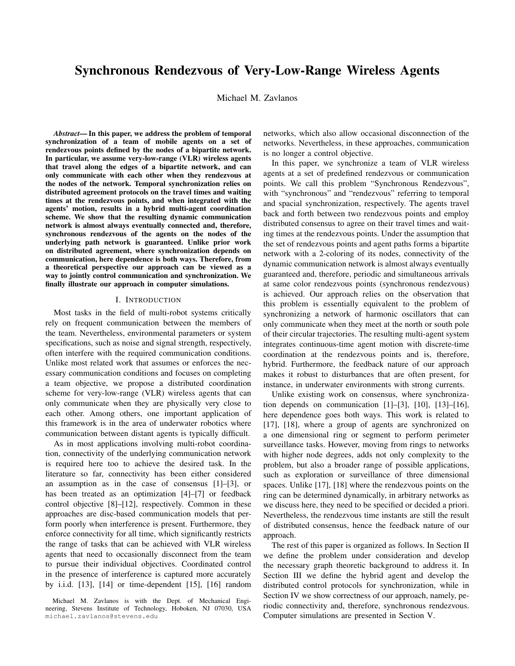# Synchronous Rendezvous of Very-Low-Range Wireless Agents

Michael M. Zavlanos

*Abstract*— In this paper, we address the problem of temporal synchronization of a team of mobile agents on a set of rendezvous points defined by the nodes of a bipartite network. In particular, we assume very-low-range (VLR) wireless agents that travel along the edges of a bipartite network, and can only communicate with each other when they rendezvous at the nodes of the network. Temporal synchronization relies on distributed agreement protocols on the travel times and waiting times at the rendezvous points, and when integrated with the agents' motion, results in a hybrid multi-agent coordination scheme. We show that the resulting dynamic communication network is almost always eventually connected and, therefore, synchronous rendezvous of the agents on the nodes of the underlying path network is guaranteed. Unlike prior work on distributed agreement, where synchronization depends on communication, here dependence is both ways. Therefore, from a theoretical perspective our approach can be viewed as a way to jointly control communication and synchronization. We finally illustrate our approach in computer simulations.

## I. INTRODUCTION

Most tasks in the field of multi-robot systems critically rely on frequent communication between the members of the team. Nevertheless, environmental parameters or system specifications, such as noise and signal strength, respectively, often interfere with the required communication conditions. Unlike most related work that assumes or enforces the necessary communication conditions and focuses on completing a team objective, we propose a distributed coordination scheme for very-low-range (VLR) wireless agents that can only communicate when they are physically very close to each other. Among others, one important application of this framework is in the area of underwater robotics where communication between distant agents is typically difficult.

As in most applications involving multi-robot coordination, connectivity of the underlying communication network is required here too to achieve the desired task. In the literature so far, connectivity has been either considered an assumption as in the case of consensus [1]–[3], or has been treated as an optimization [4]–[7] or feedback control objective [8]–[12], respectively. Common in these approaches are disc-based communication models that perform poorly when interference is present. Furthermore, they enforce connectivity for all time, which significantly restricts the range of tasks that can be achieved with VLR wireless agents that need to occasionally disconnect from the team to pursue their individual objectives. Coordinated control in the presence of interference is captured more accurately by i.i.d. [13], [14] or time-dependent [15], [16] random

networks, which also allow occasional disconnection of the networks. Nevertheless, in these approaches, communication is no longer a control objective.

In this paper, we synchronize a team of VLR wireless agents at a set of predefined rendezvous or communication points. We call this problem "Synchronous Rendezvous", with "synchronous" and "rendezvous" referring to temporal and spacial synchronization, respectively. The agents travel back and forth between two rendezvous points and employ distributed consensus to agree on their travel times and waiting times at the rendezvous points. Under the assumption that the set of rendezvous points and agent paths forms a bipartite network with a 2-coloring of its nodes, connectivity of the dynamic communication network is almost always eventually guaranteed and, therefore, periodic and simultaneous arrivals at same color rendezvous points (synchronous rendezvous) is achieved. Our approach relies on the observation that this problem is essentially equivalent to the problem of synchronizing a network of harmonic oscillators that can only communicate when they meet at the north or south pole of their circular trajectories. The resulting multi-agent system integrates continuous-time agent motion with discrete-time coordination at the rendezvous points and is, therefore, hybrid. Furthermore, the feedback nature of our approach makes it robust to disturbances that are often present, for instance, in underwater environments with strong currents.

Unlike existing work on consensus, where synchronization depends on communication  $[1]$ – $[3]$ ,  $[10]$ ,  $[13]$ – $[16]$ , here dependence goes both ways. This work is related to [17], [18], where a group of agents are synchronized on a one dimensional ring or segment to perform perimeter surveillance tasks. However, moving from rings to networks with higher node degrees, adds not only complexity to the problem, but also a broader range of possible applications, such as exploration or surveillance of three dimensional spaces. Unlike [17], [18] where the rendezvous points on the ring can be determined dynamically, in arbitrary networks as we discuss here, they need to be specified or decided a priori. Nevertheless, the rendezvous time instants are still the result of distributed consensus, hence the feedback nature of our approach.

The rest of this paper is organized as follows. In Section II we define the problem under consideration and develop the necessary graph theoretic background to address it. In Section III we define the hybrid agent and develop the distributed control protocols for synchronization, while in Section IV we show correctness of our approach, namely, periodic connectivity and, therefore, synchronous rendezvous. Computer simulations are presented in Section V.

Michael M. Zavlanos is with the Dept. of Mechanical Engineering, Stevens Institute of Technology, Hoboken, NJ 07030, USA michael.zavlanos@stevens.edu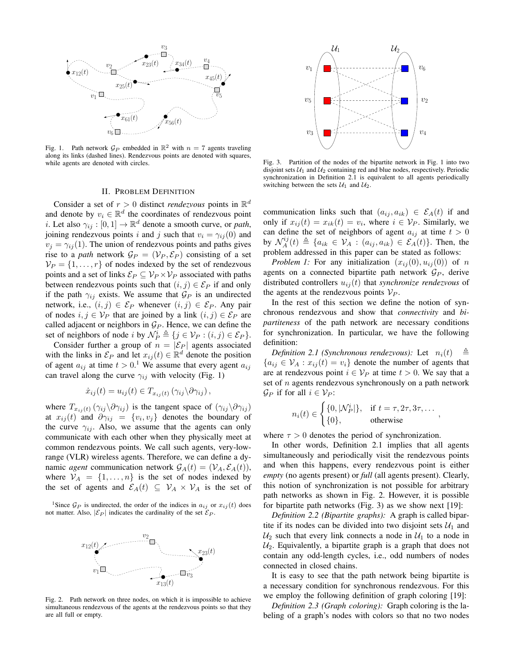

Fig. 1. Path network  $\mathcal{G}_P$  embedded in  $\mathbb{R}^2$  with  $n = 7$  agents traveling along its links (dashed lines). Rendezvous points are denoted with squares, while agents are denoted with circles.

### II. PROBLEM DEFINITION

Consider a set of  $r > 0$  distinct *rendezvous* points in  $\mathbb{R}^d$ and denote by  $v_i \in \mathbb{R}^d$  the coordinates of rendezvous point *i*. Let also  $\gamma_{ij} : [0, 1] \to \mathbb{R}^d$  denote a smooth curve, or *path*, joining rendezvous points i and j such that  $v_i = \gamma_{ij}(0)$  and  $v_j = \gamma_{ij}(1)$ . The union of rendezvous points and paths gives rise to a *path* network  $\mathcal{G}_P = (\mathcal{V}_P, \mathcal{E}_P)$  consisting of a set  $V_P = \{1, \ldots, r\}$  of nodes indexed by the set of rendezvous points and a set of links  $\mathcal{E}_P \subseteq \mathcal{V}_P \times \mathcal{V}_P$  associated with paths between rendezvous points such that  $(i, j) \in \mathcal{E}_P$  if and only if the path  $\gamma_{ij}$  exists. We assume that  $\mathcal{G}_P$  is an undirected network, i.e.,  $(i, j) \in \mathcal{E}_P$  whenever  $(i, j) \in \mathcal{E}_P$ . Any pair of nodes  $i, j \in V_P$  that are joined by a link  $(i, j) \in \mathcal{E}_P$  are called adjacent or neighbors in  $\mathcal{G}_P$ . Hence, we can define the set of neighbors of node *i* by  $\mathcal{N}_P^i \triangleq \{j \in \mathcal{V}_P : (i,j) \in \mathcal{E}_P\}.$ 

Consider further a group of  $n = |\mathcal{E}_P|$  agents associated with the links in  $\mathcal{E}_P$  and let  $x_{ij}(t) \in \mathbb{R}^d$  denote the position of agent  $a_{ij}$  at time  $t > 0$ .<sup>1</sup> We assume that every agent  $a_{ij}$ can travel along the curve  $\gamma_{ij}$  with velocity (Fig. 1)

$$
\dot{x}_{ij}(t) = u_{ij}(t) \in T_{x_{ij}(t)} (\gamma_{ij} \backslash \partial \gamma_{ij}),
$$

where  $T_{x_{ij}(t)} (\gamma_{ij} \delta \gamma_{ij})$  is the tangent space of  $(\gamma_{ij} \delta \gamma_{ij})$ at  $x_{ij}(t)$  and  $\partial \gamma_{ij} = \{v_i, v_j\}$  denotes the boundary of the curve  $\gamma_{ij}$ . Also, we assume that the agents can only communicate with each other when they physically meet at common rendezvous points. We call such agents, very-lowrange (VLR) wireless agents. Therefore, we can define a dynamic *agent* communication network  $\mathcal{G}_A(t) = (\mathcal{V}_A, \mathcal{E}_A(t)),$ where  $V_A = \{1, \ldots, n\}$  is the set of nodes indexed by the set of agents and  $\mathcal{E}_A(t) \subseteq \mathcal{V}_A \times \mathcal{V}_A$  is the set of

<sup>1</sup>Since  $\mathcal{G}_P$  is undirected, the order of the indices in  $a_{ij}$  or  $x_{ij}(t)$  does not matter. Also,  $|\mathcal{E}_P|$  indicates the cardinality of the set  $\mathcal{E}_P$ .



Fig. 2. Path network on three nodes, on which it is impossible to achieve simultaneous rendezvous of the agents at the rendezvous points so that they are all full or empty.



Fig. 3. Partition of the nodes of the bipartite network in Fig. 1 into two disjoint sets  $U_1$  and  $U_2$  containing red and blue nodes, respectively. Periodic synchronization in Definition 2.1 is equivalent to all agents periodically switching between the sets  $U_1$  and  $U_2$ .

communication links such that  $(a_{ij}, a_{ik}) \in \mathcal{E}_A(t)$  if and only if  $x_{ij}(t) = x_{ik}(t) = v_i$ , where  $i \in V_P$ . Similarly, we can define the set of neighbors of agent  $a_{ij}$  at time  $t > 0$ by  $\mathcal{N}_A^{ij}(t) \triangleq \{a_{ik} \in \mathcal{V}_A : (a_{ij}, a_{ik}) \in \mathcal{E}_A(t)\}\.$  Then, the problem addressed in this paper can be stated as follows:

*Problem 1:* For any initialization  $(x_{ij}(0), u_{ij}(0))$  of n agents on a connected bipartite path network  $\mathcal{G}_P$ , derive distributed controllers  $u_{ij}(t)$  that *synchronize rendezvous* of the agents at the rendezvous points  $V_P$ .

In the rest of this section we define the notion of synchronous rendezvous and show that *connectivity* and *bipartiteness* of the path network are necessary conditions for synchronization. In particular, we have the following definition:

*Definition 2.1 (Synchronous rendezvous):* Let  $n_i(t)$   $\triangleq$  ${a_{ij} \in V_A : x_{ij}(t) = v_i}$  denote the number of agents that are at rendezvous point  $i \in V_P$  at time  $t > 0$ . We say that a set of n agents rendezvous synchronously on a path network  $\mathcal{G}_P$  if for all  $i \in \mathcal{V}_P$ :

$$
n_i(t) \in \begin{cases} \{0, |\mathcal{N}_P^i|\}, & \text{if } t = \tau, 2\tau, 3\tau, \dots \\ \{0\}, & \text{otherwise} \end{cases}
$$

,

where  $\tau > 0$  denotes the period of synchronization.

In other words, Definition 2.1 implies that all agents simultaneously and periodically visit the rendezvous points and when this happens, every rendezvous point is either *empty* (no agents present) or *full* (all agents present). Clearly, this notion of synchronization is not possible for arbitrary path networks as shown in Fig. 2. However, it is possible for bipartite path networks (Fig. 3) as we show next [19]:

*Definition 2.2 (Bipartite graphs):* A graph is called bipartite if its nodes can be divided into two disjoint sets  $U_1$  and  $U_2$  such that every link connects a node in  $U_1$  to a node in  $U_2$ . Equivalently, a bipartite graph is a graph that does not contain any odd-length cycles, i.e., odd numbers of nodes connected in closed chains.

It is easy to see that the path network being bipartite is a necessary condition for synchronous rendezvous. For this we employ the following definition of graph coloring [19]:

*Definition 2.3 (Graph coloring):* Graph coloring is the labeling of a graph's nodes with colors so that no two nodes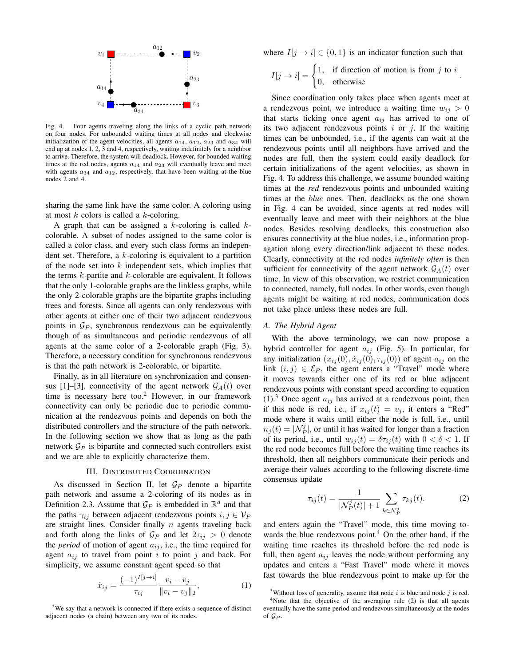

Fig. 4. Four agents traveling along the links of a cyclic path network on four nodes. For unbounded waiting times at all nodes and clockwise initialization of the agent velocities, all agents  $a_{14}$ ,  $a_{12}$ ,  $a_{23}$  and  $a_{34}$  will end up at nodes 1, 2, 3 and 4, respectively, waiting indefinitely for a neighbor to arrive. Therefore, the system will deadlock. However, for bounded waiting times at the red nodes, agents  $a_{14}$  and  $a_{23}$  will eventually leave and meet with agents  $a_{34}$  and  $a_{12}$ , respectively, that have been waiting at the blue nodes 2 and 4.

sharing the same link have the same color. A coloring using at most  $k$  colors is called a  $k$ -coloring.

A graph that can be assigned a  $k$ -coloring is called  $k$ colorable. A subset of nodes assigned to the same color is called a color class, and every such class forms an independent set. Therefore, a k-coloring is equivalent to a partition of the node set into  $k$  independent sets, which implies that the terms  $k$ -partite and  $k$ -colorable are equivalent. It follows that the only 1-colorable graphs are the linkless graphs, while the only 2-colorable graphs are the bipartite graphs including trees and forests. Since all agents can only rendezvous with other agents at either one of their two adjacent rendezvous points in  $\mathcal{G}_P$ , synchronous rendezvous can be equivalently though of as simultaneous and periodic rendezvous of all agents at the same color of a 2-colorable graph (Fig. 3). Therefore, a necessary condition for synchronous rendezvous is that the path network is 2-colorable, or bipartite.

Finally, as in all literature on synchronization and consensus [1]–[3], connectivity of the agent network  $\mathcal{G}_A(t)$  over time is necessary here too.<sup>2</sup> However, in our framework connectivity can only be periodic due to periodic communication at the rendezvous points and depends on both the distributed controllers and the structure of the path network. In the following section we show that as long as the path network  $\mathcal{G}_P$  is bipartite and connected such controllers exist and we are able to explicitly characterize them.

## III. DISTRIBUTED COORDINATION

As discussed in Section II, let  $\mathcal{G}_P$  denote a bipartite path network and assume a 2-coloring of its nodes as in Definition 2.3. Assume that  $\mathcal{G}_P$  is embedded in  $\mathbb{R}^d$  and that the paths  $\gamma_{ij}$  between adjacent rendezvous points  $i, j \in V_P$ are straight lines. Consider finally  $n$  agents traveling back and forth along the links of  $\mathcal{G}_P$  and let  $2\tau_{ij} > 0$  denote the *period* of motion of agent  $a_{ij}$ , i.e., the time required for agent  $a_{ij}$  to travel from point i to point j and back. For simplicity, we assume constant agent speed so that

$$
\dot{x}_{ij} = \frac{(-1)^{I[j \to i]}}{\tau_{ij}} \frac{v_i - v_j}{\|v_i - v_j\|_2},\tag{1}
$$

<sup>2</sup>We say that a network is connected if there exists a sequence of distinct adjacent nodes (a chain) between any two of its nodes.

where  $I[j \rightarrow i] \in \{0, 1\}$  is an indicator function such that

$$
I[j \to i] = \begin{cases} 1, & \text{if direction of motion is from } j \text{ to } i \\ 0, & \text{otherwise} \end{cases}
$$

.

Since coordination only takes place when agents meet at a rendezvous point, we introduce a waiting time  $w_{ij} > 0$ that starts ticking once agent  $a_{ij}$  has arrived to one of its two adjacent rendezvous points  $i$  or  $j$ . If the waiting times can be unbounded, i.e., if the agents can wait at the rendezvous points until all neighbors have arrived and the nodes are full, then the system could easily deadlock for certain initializations of the agent velocities, as shown in Fig. 4. To address this challenge, we assume bounded waiting times at the *red* rendezvous points and unbounded waiting times at the *blue* ones. Then, deadlocks as the one shown in Fig. 4 can be avoided, since agents at red nodes will eventually leave and meet with their neighbors at the blue nodes. Besides resolving deadlocks, this construction also ensures connectivity at the blue nodes, i.e., information propagation along every direction/link adjacent to these nodes. Clearly, connectivity at the red nodes *infinitely often* is then sufficient for connectivity of the agent network  $\mathcal{G}_A(t)$  over time. In view of this observation, we restrict communication to connected, namely, full nodes. In other words, even though agents might be waiting at red nodes, communication does not take place unless these nodes are full.

### *A. The Hybrid Agent*

With the above terminology, we can now propose a hybrid controller for agent  $a_{ij}$  (Fig. 5). In particular, for any initialization  $(x_{ij}(0), \dot{x}_{ij}(0), \tau_{ij}(0))$  of agent  $a_{ij}$  on the link  $(i, j) \in \mathcal{E}_P$ , the agent enters a "Travel" mode where it moves towards either one of its red or blue adjacent rendezvous points with constant speed according to equation  $(1)$ .<sup>3</sup> Once agent  $a_{ij}$  has arrived at a rendezvous point, then if this node is red, i.e., if  $x_{ij}(t) = v_j$ , it enters a "Red" mode where it waits until either the node is full, i.e., until  $n_j(t) = |\mathcal{N}_P^j|$ , or until it has waited for longer than a fraction of its period, i.e., until  $w_{ij}(t) = \delta \tau_{ij}(t)$  with  $0 < \delta < 1$ . If the red node becomes full before the waiting time reaches its threshold, then all neighbors communicate their periods and average their values according to the following discrete-time consensus update

$$
\tau_{ij}(t) = \frac{1}{|\mathcal{N}_P^j(t)| + 1} \sum_{k \in \mathcal{N}_P^j} \tau_{kj}(t).
$$
 (2)

and enters again the "Travel" mode, this time moving towards the blue rendezvous point. $4$  On the other hand, if the waiting time reaches its threshold before the red node is full, then agent  $a_{ij}$  leaves the node without performing any updates and enters a "Fast Travel" mode where it moves fast towards the blue rendezvous point to make up for the

<sup>&</sup>lt;sup>3</sup>Without loss of generality, assume that node  $i$  is blue and node  $j$  is red.

<sup>&</sup>lt;sup>4</sup>Note that the objective of the averaging rule (2) is that all agents eventually have the same period and rendezvous simultaneously at the nodes of  $\mathcal{G}_P$ .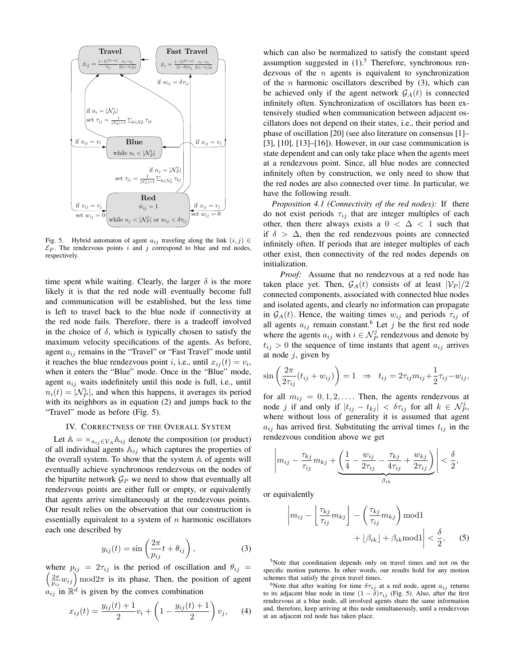

Fig. 5. Hybrid automaton of agent  $a_{ij}$  traveling along the link  $(i, j) \in$  $\mathcal{E}_P$ . The rendezvous points i and j correspond to blue and red nodes, respectively.

time spent while waiting. Clearly, the larger  $\delta$  is the more likely it is that the red node will eventually become full and communication will be established, but the less time is left to travel back to the blue node if connectivity at the red node fails. Therefore, there is a tradeoff involved in the choice of  $\delta$ , which is typically chosen to satisfy the maximum velocity specifications of the agents. As before, agent  $a_{ij}$  remains in the "Travel" or "Fast Travel" mode until it reaches the blue rendezvous point *i*, i.e., until  $x_{ij}(t) = v_i$ , when it enters the "Blue" mode. Once in the "Blue" mode, agent  $a_{ij}$  waits indefinitely until this node is full, i.e., until  $n_i(t) = |\mathcal{N}_P^i|$ , and when this happens, it averages its period with its neighbors as in equation (2) and jumps back to the "Travel" mode as before (Fig. 5).

## IV. CORRECTNESS OF THE OVERALL SYSTEM

Let  $\mathbb{A} = \times_{a_{ij} \in \mathcal{V}_A} \mathbb{A}_{ij}$  denote the composition (or product) of all individual agents  $A_{ij}$  which captures the properties of the overall system. To show that the system A of agents will eventually achieve synchronous rendezvous on the nodes of the bipartite network  $\mathcal{G}_P$  we need to show that eventually all rendezvous points are either full or empty, or equivalently that agents arrive simultaneously at the rendezvous points. Our result relies on the observation that our construction is essentially equivalent to a system of  $n$  harmonic oscillators each one described by

$$
y_{ij}(t) = \sin\left(\frac{2\pi}{p_{ij}}t + \theta_{ij}\right),\tag{3}
$$

 $\left(\frac{2\pi}{p_{ij}}w_{ij}\right)$  mod $2\pi$  is its phase. Then, the position of agent where  $p_{ij} = 2\tau_{ij}$  is the period of oscillation and  $\theta_{ij}$  =  $a_{ij}$  in  $\mathbb{R}^d$  is given by the convex combination

$$
x_{ij}(t) = \frac{y_{ij}(t) + 1}{2}v_i + \left(1 - \frac{y_{ij}(t) + 1}{2}\right)v_j, \quad (4)
$$

which can also be normalized to satisfy the constant speed assumption suggested in  $(1)$ .<sup>5</sup> Therefore, synchronous rendezvous of the  $n$  agents is equivalent to synchronization of the  $n$  harmonic oscillators described by (3), which can be achieved only if the agent network  $\mathcal{G}_A(t)$  is connected infinitely often. Synchronization of oscillators has been extensively studied when communication between adjacent oscillators does not depend on their states, i.e., their period and phase of oscillation [20] (see also literature on consensus [1]– [3], [10], [13]–[16]). However, in our case communication is state dependent and can only take place when the agents meet at a rendezvous point. Since, all blue nodes are connected infinitely often by construction, we only need to show that the red nodes are also connected over time. In particular, we have the following result.

*Proposition 4.1 (Connectivity of the red nodes):* If there do not exist periods  $\tau_{ij}$  that are integer multiples of each other, then there always exists a  $0 < \Delta < 1$  such that if  $\delta > \Delta$ , then the red rendezvous points are connected infinitely often. If periods that are integer multiples of each other exist, then connectivity of the red nodes depends on initialization.

*Proof:* Assume that no rendezvous at a red node has taken place yet. Then,  $G_A(t)$  consists of at least  $|\mathcal{V}_P|/2$ connected components, associated with connected blue nodes and isolated agents, and clearly no information can propagate in  $G_A(t)$ . Hence, the waiting times  $w_{ij}$  and periods  $\tau_{ij}$  of all agents  $a_{ij}$  remain constant.<sup>6</sup> Let j be the first red node where the agents  $a_{ij}$  with  $i \in \mathcal{N}_P^j$  rendezvous and denote by  $t_{ij} > 0$  the sequence of time instants that agent  $a_{ij}$  arrives at node  $j$ , given by

$$
\sin\left(\frac{2\pi}{2\tau_{ij}}(t_{ij}+w_{ij})\right)=1 \quad \Rightarrow \quad t_{ij}=2\tau_{ij}m_{ij}+\frac{1}{2}\tau_{ij}-w_{ij},
$$

for all  $m_{ij} = 0, 1, 2, \ldots$  Then, the agents rendezvous at node j if and only if  $|t_{ij} - t_{kj}| < \delta \tau_{ij}$  for all  $k \in \mathcal{N}_P^j$ , where without loss of generality it is assumed that agent  $a_{ij}$  has arrived first. Substituting the arrival times  $t_{ij}$  in the rendezvous condition above we get

$$
\left| m_{ij} - \frac{\tau_{kj}}{\tau_{ij}} m_{kj} + \underbrace{\left( \frac{1}{4} - \frac{w_{ij}}{2\tau_{ij}} - \frac{\tau_{kj}}{4\tau_{ij}} + \frac{w_{kj}}{2\tau_{ij}} \right)}_{\beta_{ik}} \right| < \frac{\delta}{2},
$$

or equivalently  $\overline{\phantom{a}}$ 

 $\overline{\phantom{a}}$  $\overline{\phantom{a}}$  $\overline{\phantom{a}}$ 

$$
m_{ij} - \left\lfloor \frac{\tau_{kj}}{\tau_{ij}} m_{kj} \right\rfloor - \left(\frac{\tau_{kj}}{\tau_{ij}} m_{kj}\right) \text{mod} 1 + \left\lfloor \beta_{ik} \right\rfloor + \beta_{ik} \text{mod} 1 \le \frac{\delta}{2}, \quad (5)
$$

<sup>5</sup>Note that coordination depends only on travel times and not on the specific motion patterns. In other words, our results hold for any motion schemes that satisfy the given travel times.

<sup>6</sup>Note that after waiting for time  $\delta \tau_{ij}$  at a red node, agent  $a_{ij}$  returns to its adjacent blue node in time  $(1 - \delta)\tau_{ij}$  (Fig. 5). Also, after the first rendezvous at a blue node, all involved agents share the same information and, therefore, keep arriving at this node simultaneously, until a rendezvous at an adjacent red node has taken place.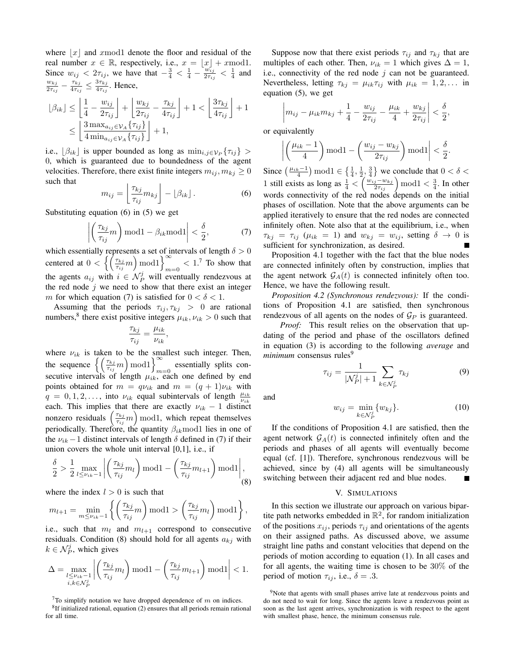where  $|x|$  and xmod1 denote the floor and residual of the real number  $x \in \mathbb{R}$ , respectively, i.e.,  $x = \lfloor x \rfloor + x \mod 1$ . Since  $w_{ij} < 2\tau_{ij}$ , we have that  $-\frac{3}{4} < \frac{1}{4} - \frac{w_{ij}}{2\tau_{ij}}$  $\frac{w_{ij}}{2\tau_{ij}}<\frac{1}{4}$  and  $w_{kj}$  $\frac{w_{kj}}{2\tau_{ij}}-\frac{\tau_{kj}}{4\tau_{ij}}$  $\frac{\tau_{kj}}{4\tau_{ij}} \leq \frac{3\tau_{kj}}{4\tau_{ij}}$  $\frac{\delta \tau_{kj}}{4\tau_{ij}}$ . Hence,

$$
|\beta_{ik}| \le \left\lfloor \frac{1}{4} - \frac{w_{ij}}{2\tau_{ij}} \right\rfloor + \left\lfloor \frac{w_{kj}}{2\tau_{ij}} - \frac{\tau_{kj}}{4\tau_{ij}} \right\rfloor + 1 < \left\lfloor \frac{3\tau_{kj}}{4\tau_{ij}} \right\rfloor + 1
$$
  

$$
\le \left\lfloor \frac{3\max_{a_{ij} \in \mathcal{V}_A} {\tau_{ij}} }{3\min_{a_{ij} \in \mathcal{V}_A} {\tau_{ij}} } \right\rfloor + 1,
$$

i.e.,  $\lfloor \beta_{ik} \rfloor$  is upper bounded as long as  $\min_{i,j \in \mathcal{V}_P} {\tau_{ij}} >$ 0, which is guaranteed due to boundedness of the agent velocities. Therefore, there exist finite integers  $m_{ij}, m_{kj} \geq 0$ such that

$$
m_{ij} = \left\lfloor \frac{\tau_{kj}}{\tau_{ij}} m_{kj} \right\rfloor - \left\lfloor \beta_{ik} \right\rfloor. \tag{6}
$$

Substituting equation (6) in (5) we get

$$
\left| \left( \frac{\tau_{kj}}{\tau_{ij}} m \right) \text{mod} 1 - \beta_{ik} \text{mod} 1 \right| < \frac{\delta}{2},\tag{7}
$$

which essentially represents a set of intervals of length  $\delta > 0$ centered at  $0 < \left\{ \int \frac{\tau_{kj}}{\tau_{kj}} \right\}$  $\left(\frac{\tau_{kj}}{\tau_{ij}}m\right) \bmod 1$   $\bigg\}_{m=0}^{\infty} < 1$ .<sup>7</sup> To show that the agents  $a_{ij}$  with  $i \in \mathcal{N}_P^j$  will eventually rendezvous at the red node  $j$  we need to show that there exist an integer m for which equation (7) is satisfied for  $0 < \delta < 1$ .

Assuming that the periods  $\tau_{ij}, \tau_{kj} > 0$  are rational numbers,<sup>8</sup> there exist positive integers  $\mu_{ik}, \nu_{ik} > 0$  such that

$$
\frac{\tau_{kj}}{\tau_{ij}} = \frac{\mu_{ik}}{\nu_{ik}},
$$

where  $\nu_{ik}$  is taken to be the smallest such integer. Then, the sequence  $\left\{ \left( \frac{\tau_{kj}}{\tau_{ij}} m \right) \bmod 1 \right\}_{m=0}^{\infty}$  essentially splits consecutive intervals of length  $\mu_{ik}$ , each one defined by end points obtained for  $m = qv_{ik}$  and  $m = (q + 1)v_{ik}$  with  $q = 0, 1, 2, \dots$ , into  $\nu_{ik}$  equal subintervals of length  $\frac{\mu_{ik}}{\nu_{ik}}$ each. This implies that there are exactly  $\nu_{ik} - 1$  distinct nonzero residuals  $\left(\frac{\tau_{kj}}{\tau_{kj}}\right)$  $\left(\frac{\tau_{kj}}{\tau_{ij}}m\right) \bmod 1$ , which repeat themselves periodically. Therefore, the quantity  $\beta_{ik} \text{mod} 1$  lies in one of the  $\nu_{ik}$  −1 distinct intervals of length  $\delta$  defined in (7) if their union covers the whole unit interval [0,1], i.e., if

$$
\frac{\delta}{2} > \frac{1}{2} \max_{l \le \nu_{ik}-1} \left| \left( \frac{\tau_{kj}}{\tau_{ij}} m_l \right) \text{mod} 1 - \left( \frac{\tau_{kj}}{\tau_{ij}} m_{l+1} \right) \text{mod} 1 \right|, \tag{8}
$$

where the index  $l > 0$  is such that

$$
m_{l+1} = \min_{m \le \nu_{ik}-1} \left\{ \left( \frac{\tau_{kj}}{\tau_{ij}} m \right) \bmod 1 > \left( \frac{\tau_{kj}}{\tau_{ij}} m_l \right) \bmod 1 \right\},\,
$$

i.e., such that  $m_l$  and  $m_{l+1}$  correspond to consecutive residuals. Condition (8) should hold for all agents  $a_{kj}$  with  $k \in \mathcal{N}_P^j$ , which gives

$$
\Delta = \max_{\substack{l \le \nu_{ik}-1 \\ i,k \in \mathcal{N}_P^j}} \left| \left( \frac{\tau_{kj}}{\tau_{ij}} m_l \right) \operatorname{mod} 1 - \left( \frac{\tau_{kj}}{\tau_{ij}} m_{l+1} \right) \operatorname{mod} 1 \right| < 1.
$$

 $7$ To simplify notation we have dropped dependence of m on indices.

Suppose now that there exist periods  $\tau_{ij}$  and  $\tau_{kj}$  that are multiples of each other. Then,  $\nu_{ik} = 1$  which gives  $\Delta = 1$ , i.e., connectivity of the red node  $j$  can not be guaranteed. Nevertheless, letting  $\tau_{kj} = \mu_{ik}\tau_{ij}$  with  $\mu_{ik} = 1, 2, \dots$  in equation (5), we get

$$
\left| m_{ij} - \mu_{ik} m_{kj} + \frac{1}{4} - \frac{w_{ij}}{2\tau_{ij}} - \frac{\mu_{ik}}{4} + \frac{w_{kj}}{2\tau_{ij}} \right| < \frac{\delta}{2},
$$

or equivalently

$$
\left| \left( \frac{\mu_{ik} - 1}{4} \right) \bmod 1 - \left( \frac{w_{ij} - w_{kj}}{2\tau_{ij}} \right) \bmod 1 \right| < \frac{\delta}{2}.
$$

Since  $\left(\frac{\mu_{ik}-1}{4}\right) \bmod 1 \in \left\{\frac{1}{4}, \frac{1}{2}, \frac{3}{4}\right\}$  we conclude that  $0 < \delta <$ 1 still exists as long as  $\frac{1}{4} < \left(\frac{w_{ij}-w_{kj}}{2\tau_{ij}}\right) \text{ mod } 1 < \frac{3}{4}$ . In other words connectivity of the red nodes depends on the initial phases of oscillation. Note that the above arguments can be applied iteratively to ensure that the red nodes are connected infinitely often. Note also that at the equilibrium, i.e., when  $\tau_{kj} = \tau_{ij}$  ( $\mu_{ik} = 1$ ) and  $w_{kj} = w_{ij}$ , setting  $\delta \rightarrow 0$  is sufficient for synchronization, as desired.

Proposition 4.1 together with the fact that the blue nodes are connected infinitely often by construction, implies that the agent network  $\mathcal{G}_A(t)$  is connected infinitely often too. Hence, we have the following result.

*Proposition 4.2 (Synchronous rendezvous):* If the conditions of Proposition 4.1 are satisfied, then synchronous rendezvous of all agents on the nodes of  $\mathcal{G}_P$  is guaranteed.

*Proof:* This result relies on the observation that updating of the period and phase of the oscillators defined in equation (3) is according to the following *average* and *minimum* consensus rules<sup>9</sup>

$$
\tau_{ij} = \frac{1}{|\mathcal{N}_P^j| + 1} \sum_{k \in \mathcal{N}_P^j} \tau_{kj} \tag{9}
$$

and

$$
w_{ij} = \min_{k \in \mathcal{N}_P^j} \{ w_{kj} \}.
$$
 (10)

If the conditions of Proposition 4.1 are satisfied, then the agent network  $G_A(t)$  is connected infinitely often and the periods and phases of all agents will eventually become equal (cf. [1]). Therefore, synchronous rendezvous will be achieved, since by (4) all agents will be simultaneously switching between their adjacent red and blue nodes.  $\blacksquare$ 

### V. SIMULATIONS

In this section we illustrate our approach on various bipartite path networks embedded in  $\mathbb{R}^2$ , for random initialization of the positions  $x_{ij}$ , periods  $\tau_{ij}$  and orientations of the agents on their assigned paths. As discussed above, we assume straight line paths and constant velocities that depend on the periods of motion according to equation (1). In all cases and for all agents, the waiting time is chosen to be 30% of the period of motion  $\tau_{ij}$ , i.e.,  $\delta = .3$ .

<sup>&</sup>lt;sup>8</sup>If initialized rational, equation (2) ensures that all periods remain rational for all time.

<sup>&</sup>lt;sup>9</sup>Note that agents with small phases arrive late at rendezvous points and do not need to wait for long. Since the agents leave a rendezvous point as soon as the last agent arrives, synchronization is with respect to the agent with smallest phase, hence, the minimum consensus rule.